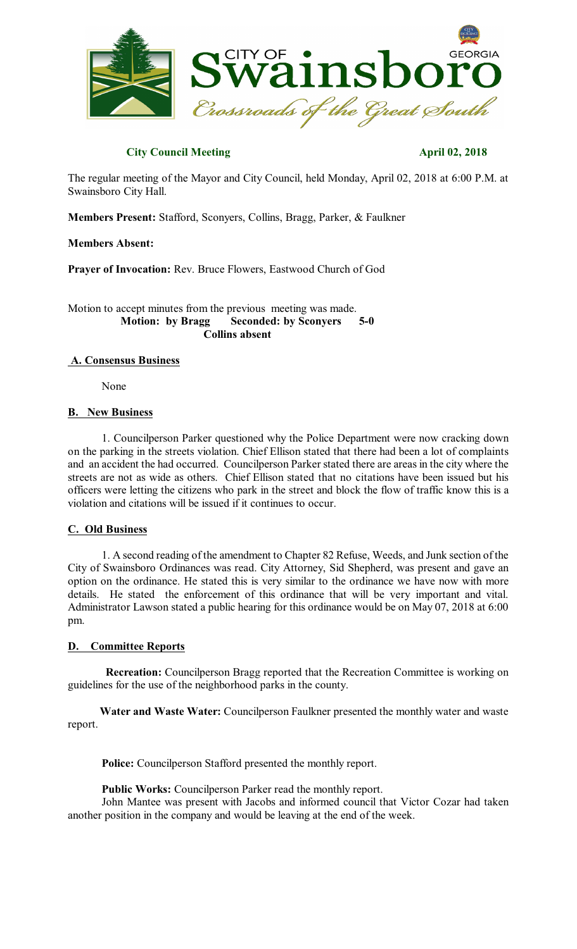

# **City Council Meeting April 02, 2018**

The regular meeting of the Mayor and City Council, held Monday, April 02, 2018 at 6:00 P.M. at Swainsboro City Hall.

**Members Present:** Stafford, Sconyers, Collins, Bragg, Parker, & Faulkner

## **Members Absent:**

**Prayer of Invocation:** Rev. Bruce Flowers, Eastwood Church of God

Motion to accept minutes from the previous meeting was made. **Motion: by Bragg Seconded: by Sconyers 5-0 Collins absent**

### **A. Consensus Business**

None

## **B. New Business**

1. Councilperson Parker questioned why the Police Department were now cracking down on the parking in the streets violation. Chief Ellison stated that there had been a lot of complaints and an accident the had occurred. Councilperson Parker stated there are areas in the city where the streets are not as wide as others. Chief Ellison stated that no citations have been issued but his officers were letting the citizens who park in the street and block the flow of traffic know this is a violation and citations will be issued if it continues to occur.

## **C. Old Business**

1. A second reading of the amendment to Chapter 82 Refuse, Weeds, and Junk section of the City of Swainsboro Ordinances was read. City Attorney, Sid Shepherd, was present and gave an option on the ordinance. He stated this is very similar to the ordinance we have now with more details. He stated the enforcement of this ordinance that will be very important and vital. Administrator Lawson stated a public hearing for this ordinance would be on May 07, 2018 at 6:00 pm.

## **D. Committee Reports**

**Recreation:** Councilperson Bragg reported that the Recreation Committee is working on guidelines for the use of the neighborhood parks in the county.

**Water and Waste Water:** Councilperson Faulkner presented the monthly water and waste report.

**Police:** Councilperson Stafford presented the monthly report.

**Public Works:** Councilperson Parker read the monthly report.

John Mantee was present with Jacobs and informed council that Victor Cozar had taken another position in the company and would be leaving at the end of the week.